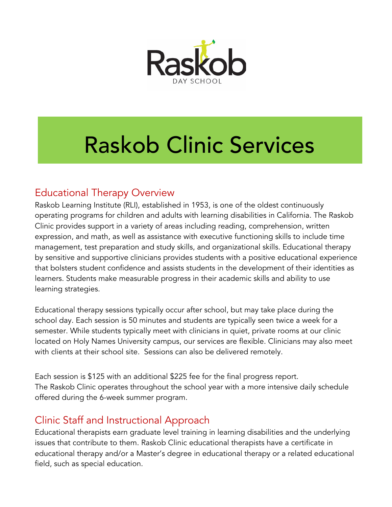

# Raskob Clinic Services

## Educational Therapy Overview

Raskob Learning Institute (RLI), established in 1953, is one of the oldest continuously operating programs for children and adults with learning disabilities in California. The Raskob Clinic provides support in a variety of areas including reading, comprehension, written expression, and math, as well as assistance with executive functioning skills to include time management, test preparation and study skills, and organizational skills. Educational therapy by sensitive and supportive clinicians provides students with a positive educational experience that bolsters student confidence and assists students in the development of their identities as learners. Students make measurable progress in their academic skills and ability to use learning strategies.

Educational therapy sessions typically occur after school, but may take place during the school day. Each session is 50 minutes and students are typically seen twice a week for a semester. While students typically meet with clinicians in quiet, private rooms at our clinic located on Holy Names University campus, our services are flexible. Clinicians may also meet with clients at their school site. Sessions can also be delivered remotely.

Each session is \$125 with an additional \$225 fee for the final progress report. The Raskob Clinic operates throughout the school year with a more intensive daily schedule offered during the 6-week summer program.

## Clinic Staff and Instructional Approach

Educational therapists earn graduate level training in learning disabilities and the underlying issues that contribute to them. Raskob Clinic educational therapists have a certificate in educational therapy and/or a Master's degree in educational therapy or a related educational field, such as special education.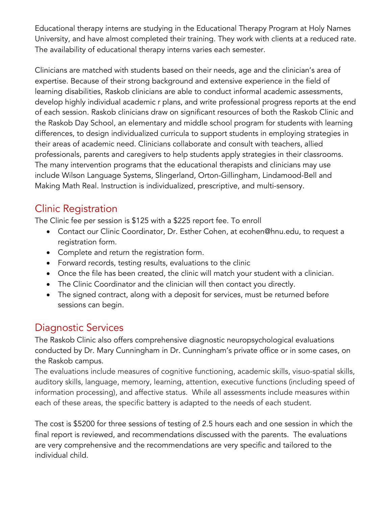Educational therapy interns are studying in the Educational Therapy Program at Holy Names University, and have almost completed their training. They work with clients at a reduced rate. The availability of educational therapy interns varies each semester.

Clinicians are matched with students based on their needs, age and the clinician's area of expertise. Because of their strong background and extensive experience in the field of learning disabilities, Raskob clinicians are able to conduct informal academic assessments, develop highly individual academic r plans, and write professional progress reports at the end of each session. Raskob clinicians draw on significant resources of both the Raskob Clinic and the Raskob Day School, an elementary and middle school program for students with learning differences, to design individualized curricula to support students in employing strategies in their areas of academic need. Clinicians collaborate and consult with teachers, allied professionals, parents and caregivers to help students apply strategies in their classrooms. The many intervention programs that the educational therapists and clinicians may use include Wilson Language Systems, Slingerland, Orton-Gillingham, Lindamood-Bell and Making Math Real. Instruction is individualized, prescriptive, and multi-sensory.

## Clinic Registration

The Clinic fee per session is \$125 with a \$225 report fee. To enroll

- Contact our Clinic Coordinator, Dr. Esther Cohen, at ecohen@hnu.edu, to request a registration form.
- Complete and return the registration form.
- Forward records, testing results, evaluations to the clinic
- Once the file has been created, the clinic will match your student with a clinician.
- The Clinic Coordinator and the clinician will then contact you directly.
- The signed contract, along with a deposit for services, must be returned before sessions can begin.

# Diagnostic Services

The Raskob Clinic also offers comprehensive diagnostic neuropsychological evaluations conducted by Dr. Mary Cunningham in Dr. Cunningham's private office or in some cases, on the Raskob campus.

The evaluations include measures of cognitive functioning, academic skills, visuo-spatial skills, auditory skills, language, memory, learning, attention, executive functions (including speed of information processing), and affective status. While all assessments include measures within each of these areas, the specific battery is adapted to the needs of each student.

The cost is \$5200 for three sessions of testing of 2.5 hours each and one session in which the final report is reviewed, and recommendations discussed with the parents. The evaluations are very comprehensive and the recommendations are very specific and tailored to the individual child.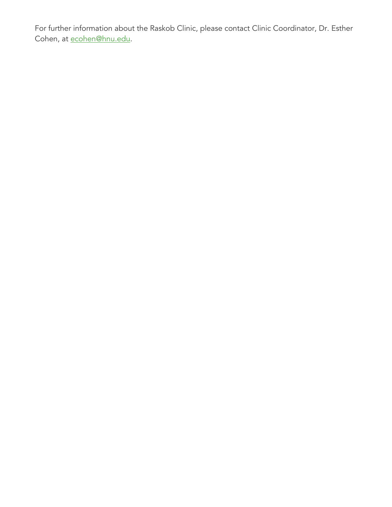For further information about the Raskob Clinic, please contact Clinic Coordinator, Dr. Esther Cohen, at **ecohen@hnu.edu**.